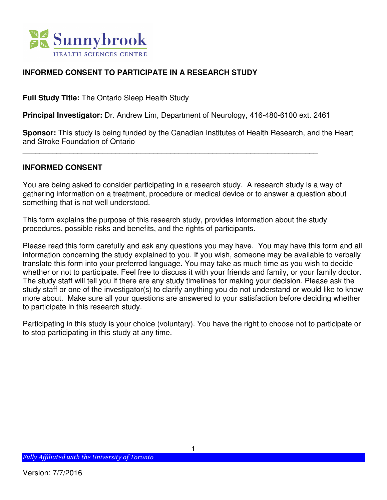

### **INFORMED CONSENT TO PARTICIPATE IN A RESEARCH STUDY**

**Full Study Title:** The Ontario Sleep Health Study

**Principal Investigator:** Dr. Andrew Lim, Department of Neurology, 416-480-6100 ext. 2461

**\_\_\_\_\_\_\_\_\_\_\_\_\_\_\_\_\_\_\_\_\_\_\_\_\_\_\_\_\_\_\_\_\_\_\_\_\_\_\_\_\_\_\_\_\_\_\_\_\_\_\_\_\_\_\_\_\_\_\_\_\_\_\_\_\_\_\_\_\_\_** 

**Sponsor:** This study is being funded by the Canadian Institutes of Health Research, and the Heart and Stroke Foundation of Ontario

#### **INFORMED CONSENT**

You are being asked to consider participating in a research study. A research study is a way of gathering information on a treatment, procedure or medical device or to answer a question about something that is not well understood.

This form explains the purpose of this research study, provides information about the study procedures, possible risks and benefits, and the rights of participants.

Please read this form carefully and ask any questions you may have. You may have this form and all information concerning the study explained to you. If you wish, someone may be available to verbally translate this form into your preferred language. You may take as much time as you wish to decide whether or not to participate. Feel free to discuss it with your friends and family, or your family doctor. The study staff will tell you if there are any study timelines for making your decision. Please ask the study staff or one of the investigator(s) to clarify anything you do not understand or would like to know more about. Make sure all your questions are answered to your satisfaction before deciding whether to participate in this research study.

Participating in this study is your choice (voluntary). You have the right to choose not to participate or to stop participating in this study at any time.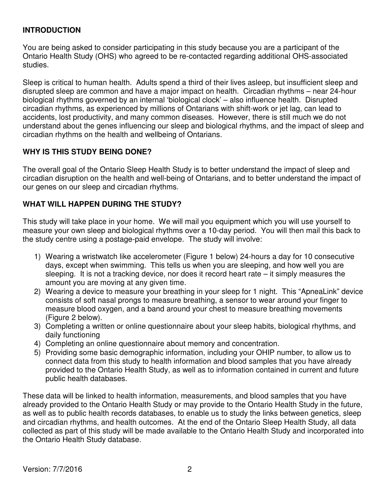#### **INTRODUCTION**

You are being asked to consider participating in this study because you are a participant of the Ontario Health Study (OHS) who agreed to be re-contacted regarding additional OHS-associated studies.

Sleep is critical to human health. Adults spend a third of their lives asleep, but insufficient sleep and disrupted sleep are common and have a major impact on health. Circadian rhythms – near 24-hour biological rhythms governed by an internal 'biological clock' – also influence health. Disrupted circadian rhythms, as experienced by millions of Ontarians with shift-work or jet lag, can lead to accidents, lost productivity, and many common diseases. However, there is still much we do not understand about the genes influencing our sleep and biological rhythms, and the impact of sleep and circadian rhythms on the health and wellbeing of Ontarians.

### **WHY IS THIS STUDY BEING DONE?**

The overall goal of the Ontario Sleep Health Study is to better understand the impact of sleep and circadian disruption on the health and well-being of Ontarians, and to better understand the impact of our genes on our sleep and circadian rhythms.

### **WHAT WILL HAPPEN DURING THE STUDY?**

This study will take place in your home. We will mail you equipment which you will use yourself to measure your own sleep and biological rhythms over a 10-day period. You will then mail this back to the study centre using a postage-paid envelope. The study will involve:

- 1) Wearing a wristwatch like accelerometer (Figure 1 below) 24-hours a day for 10 consecutive days, except when swimming. This tells us when you are sleeping, and how well you are sleeping. It is not a tracking device, nor does it record heart rate – it simply measures the amount you are moving at any given time.
- 2) Wearing a device to measure your breathing in your sleep for 1 night. This "ApneaLink" device consists of soft nasal prongs to measure breathing, a sensor to wear around your finger to measure blood oxygen, and a band around your chest to measure breathing movements (Figure 2 below).
- 3) Completing a written or online questionnaire about your sleep habits, biological rhythms, and daily functioning
- 4) Completing an online questionnaire about memory and concentration.
- 5) Providing some basic demographic information, including your OHIP number, to allow us to connect data from this study to health information and blood samples that you have already provided to the Ontario Health Study, as well as to information contained in current and future public health databases.

These data will be linked to health information, measurements, and blood samples that you have already provided to the Ontario Health Study or may provide to the Ontario Health Study in the future, as well as to public health records databases, to enable us to study the links between genetics, sleep and circadian rhythms, and health outcomes. At the end of the Ontario Sleep Health Study, all data collected as part of this study will be made available to the Ontario Health Study and incorporated into the Ontario Health Study database.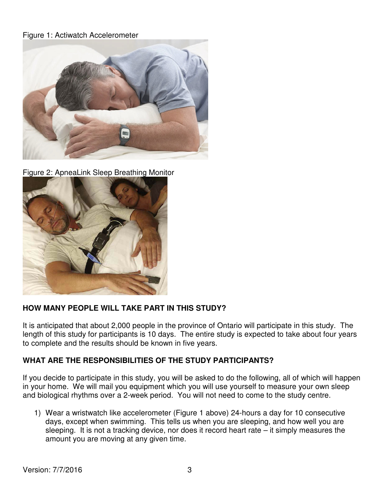### Figure 1: Actiwatch Accelerometer



Figure 2: ApneaLink Sleep Breathing Monitor



### **HOW MANY PEOPLE WILL TAKE PART IN THIS STUDY?**

It is anticipated that about 2,000 people in the province of Ontario will participate in this study. The length of this study for participants is 10 days. The entire study is expected to take about four years to complete and the results should be known in five years.

### **WHAT ARE THE RESPONSIBILITIES OF THE STUDY PARTICIPANTS?**

If you decide to participate in this study, you will be asked to do the following, all of which will happen in your home. We will mail you equipment which you will use yourself to measure your own sleep and biological rhythms over a 2-week period. You will not need to come to the study centre.

1) Wear a wristwatch like accelerometer (Figure 1 above) 24-hours a day for 10 consecutive days, except when swimming. This tells us when you are sleeping, and how well you are sleeping. It is not a tracking device, nor does it record heart rate – it simply measures the amount you are moving at any given time.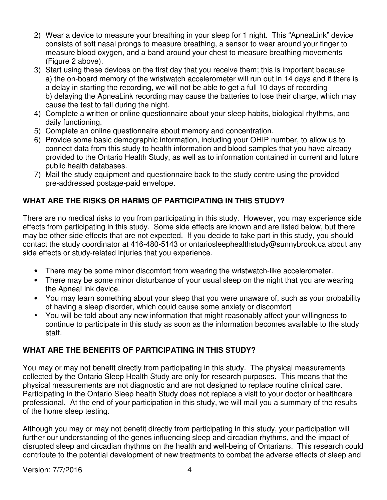- 2) Wear a device to measure your breathing in your sleep for 1 night. This "ApneaLink" device consists of soft nasal prongs to measure breathing, a sensor to wear around your finger to measure blood oxygen, and a band around your chest to measure breathing movements (Figure 2 above).
- 3) Start using these devices on the first day that you receive them; this is important because a) the on-board memory of the wristwatch accelerometer will run out in 14 days and if there is a delay in starting the recording, we will not be able to get a full 10 days of recording b) delaying the ApneaLink recording may cause the batteries to lose their charge, which may cause the test to fail during the night.
- 4) Complete a written or online questionnaire about your sleep habits, biological rhythms, and daily functioning.
- 5) Complete an online questionnaire about memory and concentration.
- 6) Provide some basic demographic information, including your OHIP number, to allow us to connect data from this study to health information and blood samples that you have already provided to the Ontario Health Study, as well as to information contained in current and future public health databases.
- 7) Mail the study equipment and questionnaire back to the study centre using the provided pre-addressed postage-paid envelope.

# **WHAT ARE THE RISKS OR HARMS OF PARTICIPATING IN THIS STUDY?**

There are no medical risks to you from participating in this study. However, you may experience side effects from participating in this study. Some side effects are known and are listed below, but there may be other side effects that are not expected. If you decide to take part in this study, you should contact the study coordinator at 416-480-5143 or ontariosleephealthstudy@sunnybrook.ca about any side effects or study-related injuries that you experience.

- There may be some minor discomfort from wearing the wristwatch-like accelerometer.
- There may be some minor disturbance of your usual sleep on the night that you are wearing the ApneaLink device.
- You may learn something about your sleep that you were unaware of, such as your probability of having a sleep disorder, which could cause some anxiety or discomfort
- You will be told about any new information that might reasonably affect your willingness to continue to participate in this study as soon as the information becomes available to the study staff.

# **WHAT ARE THE BENEFITS OF PARTICIPATING IN THIS STUDY?**

You may or may not benefit directly from participating in this study. The physical measurements collected by the Ontario Sleep Health Study are only for research purposes. This means that the physical measurements are not diagnostic and are not designed to replace routine clinical care. Participating in the Ontario Sleep health Study does not replace a visit to your doctor or healthcare professional. At the end of your participation in this study, we will mail you a summary of the results of the home sleep testing.

Although you may or may not benefit directly from participating in this study, your participation will further our understanding of the genes influencing sleep and circadian rhythms, and the impact of disrupted sleep and circadian rhythms on the health and well-being of Ontarians. This research could contribute to the potential development of new treatments to combat the adverse effects of sleep and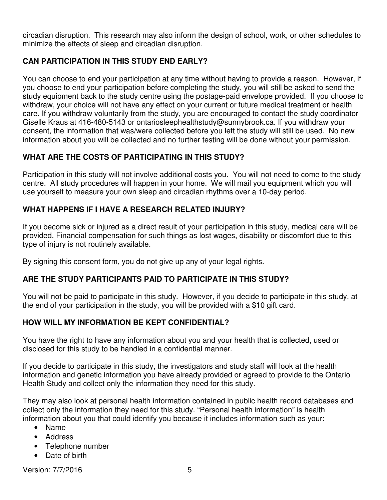circadian disruption. This research may also inform the design of school, work, or other schedules to minimize the effects of sleep and circadian disruption.

### **CAN PARTICIPATION IN THIS STUDY END EARLY?**

You can choose to end your participation at any time without having to provide a reason. However, if you choose to end your participation before completing the study, you will still be asked to send the study equipment back to the study centre using the postage-paid envelope provided. If you choose to withdraw, your choice will not have any effect on your current or future medical treatment or health care. If you withdraw voluntarily from the study, you are encouraged to contact the study coordinator Giselle Kraus at 416-480-5143 or ontariosleephealthstudy@sunnybrook.ca. If you withdraw your consent, the information that was/were collected before you left the study will still be used. No new information about you will be collected and no further testing will be done without your permission.

### **WHAT ARE THE COSTS OF PARTICIPATING IN THIS STUDY?**

Participation in this study will not involve additional costs you. You will not need to come to the study centre. All study procedures will happen in your home. We will mail you equipment which you will use yourself to measure your own sleep and circadian rhythms over a 10-day period.

# **WHAT HAPPENS IF I HAVE A RESEARCH RELATED INJURY?**

If you become sick or injured as a direct result of your participation in this study, medical care will be provided. Financial compensation for such things as lost wages, disability or discomfort due to this type of injury is not routinely available.

By signing this consent form, you do not give up any of your legal rights.

# **ARE THE STUDY PARTICIPANTS PAID TO PARTICIPATE IN THIS STUDY?**

You will not be paid to participate in this study. However, if you decide to participate in this study, at the end of your participation in the study, you will be provided with a \$10 gift card.

# **HOW WILL MY INFORMATION BE KEPT CONFIDENTIAL?**

You have the right to have any information about you and your health that is collected, used or disclosed for this study to be handled in a confidential manner.

If you decide to participate in this study, the investigators and study staff will look at the health information and genetic information you have already provided or agreed to provide to the Ontario Health Study and collect only the information they need for this study.

They may also look at personal health information contained in public health record databases and collect only the information they need for this study. "Personal health information" is health information about you that could identify you because it includes information such as your:

- Name
- Address
- Telephone number
- Date of birth

Version: 7/7/2016 5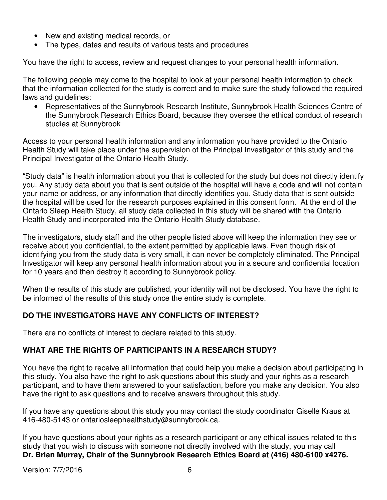- New and existing medical records, or
- The types, dates and results of various tests and procedures

You have the right to access, review and request changes to your personal health information.

The following people may come to the hospital to look at your personal health information to check that the information collected for the study is correct and to make sure the study followed the required laws and guidelines:

• Representatives of the Sunnybrook Research Institute, Sunnybrook Health Sciences Centre of the Sunnybrook Research Ethics Board, because they oversee the ethical conduct of research studies at Sunnybrook

Access to your personal health information and any information you have provided to the Ontario Health Study will take place under the supervision of the Principal Investigator of this study and the Principal Investigator of the Ontario Health Study.

"Study data" is health information about you that is collected for the study but does not directly identify you. Any study data about you that is sent outside of the hospital will have a code and will not contain your name or address, or any information that directly identifies you. Study data that is sent outside the hospital will be used for the research purposes explained in this consent form. At the end of the Ontario Sleep Health Study, all study data collected in this study will be shared with the Ontario Health Study and incorporated into the Ontario Health Study database.

The investigators, study staff and the other people listed above will keep the information they see or receive about you confidential, to the extent permitted by applicable laws. Even though risk of identifying you from the study data is very small, it can never be completely eliminated. The Principal Investigator will keep any personal health information about you in a secure and confidential location for 10 years and then destroy it according to Sunnybrook policy.

When the results of this study are published, your identity will not be disclosed. You have the right to be informed of the results of this study once the entire study is complete.

# **DO THE INVESTIGATORS HAVE ANY CONFLICTS OF INTEREST?**

There are no conflicts of interest to declare related to this study.

# **WHAT ARE THE RIGHTS OF PARTICIPANTS IN A RESEARCH STUDY?**

You have the right to receive all information that could help you make a decision about participating in this study. You also have the right to ask questions about this study and your rights as a research participant, and to have them answered to your satisfaction, before you make any decision. You also have the right to ask questions and to receive answers throughout this study.

If you have any questions about this study you may contact the study coordinator Giselle Kraus at 416-480-5143 or ontariosleephealthstudy@sunnybrook.ca.

If you have questions about your rights as a research participant or any ethical issues related to this study that you wish to discuss with someone not directly involved with the study, you may call **Dr. Brian Murray, Chair of the Sunnybrook Research Ethics Board at (416) 480-6100 x4276.**